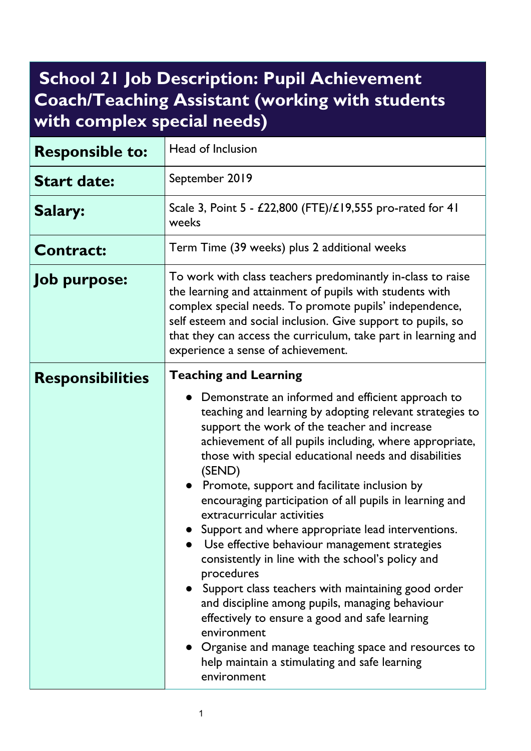## **School 21 Job Description: Pupil Achievement Coach/Teaching Assistant (working with students with complex special needs)**

| <b>Responsible to:</b>  | Head of Inclusion                                                                                                                                                                                                                                                                                                                                                                                                                                                                                                                                                                                                                                                                                                                                                                                                                                                                                                                                      |
|-------------------------|--------------------------------------------------------------------------------------------------------------------------------------------------------------------------------------------------------------------------------------------------------------------------------------------------------------------------------------------------------------------------------------------------------------------------------------------------------------------------------------------------------------------------------------------------------------------------------------------------------------------------------------------------------------------------------------------------------------------------------------------------------------------------------------------------------------------------------------------------------------------------------------------------------------------------------------------------------|
| <b>Start date:</b>      | September 2019                                                                                                                                                                                                                                                                                                                                                                                                                                                                                                                                                                                                                                                                                                                                                                                                                                                                                                                                         |
| Salary:                 | Scale 3, Point 5 - £22,800 (FTE)/£19,555 pro-rated for 41<br>weeks                                                                                                                                                                                                                                                                                                                                                                                                                                                                                                                                                                                                                                                                                                                                                                                                                                                                                     |
| <b>Contract:</b>        | Term Time (39 weeks) plus 2 additional weeks                                                                                                                                                                                                                                                                                                                                                                                                                                                                                                                                                                                                                                                                                                                                                                                                                                                                                                           |
| <b>Job purpose:</b>     | To work with class teachers predominantly in-class to raise<br>the learning and attainment of pupils with students with<br>complex special needs. To promote pupils' independence,<br>self esteem and social inclusion. Give support to pupils, so<br>that they can access the curriculum, take part in learning and<br>experience a sense of achievement.                                                                                                                                                                                                                                                                                                                                                                                                                                                                                                                                                                                             |
| <b>Responsibilities</b> | <b>Teaching and Learning</b><br>• Demonstrate an informed and efficient approach to<br>teaching and learning by adopting relevant strategies to<br>support the work of the teacher and increase<br>achievement of all pupils including, where appropriate,<br>those with special educational needs and disabilities<br>(SEND)<br>• Promote, support and facilitate inclusion by<br>encouraging participation of all pupils in learning and<br>extracurricular activities<br>Support and where appropriate lead interventions.<br>Use effective behaviour management strategies<br>consistently in line with the school's policy and<br>procedures<br>• Support class teachers with maintaining good order<br>and discipline among pupils, managing behaviour<br>effectively to ensure a good and safe learning<br>environment<br>• Organise and manage teaching space and resources to<br>help maintain a stimulating and safe learning<br>environment |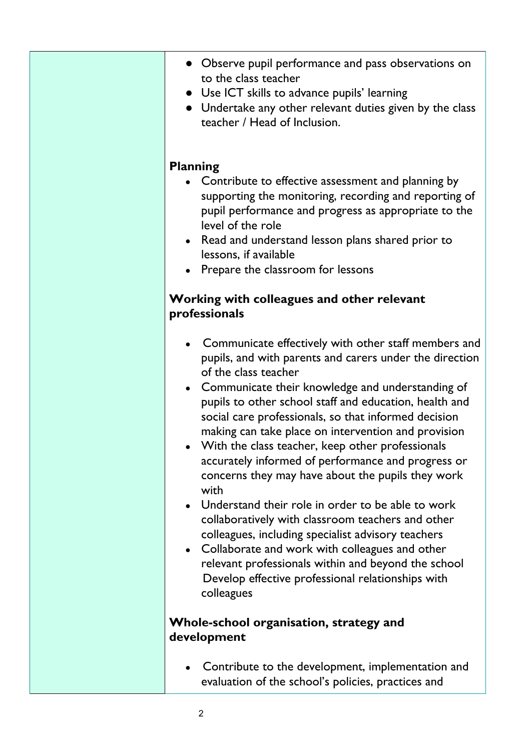|                                                        | • Observe pupil performance and pass observations on<br>to the class teacher<br>• Use ICT skills to advance pupils' learning<br>• Undertake any other relevant duties given by the class<br>teacher / Head of Inclusion.                                                                                                                                                                                                                                                                                                                                                                                                                                                                                                                                                                                                                                                                    |
|--------------------------------------------------------|---------------------------------------------------------------------------------------------------------------------------------------------------------------------------------------------------------------------------------------------------------------------------------------------------------------------------------------------------------------------------------------------------------------------------------------------------------------------------------------------------------------------------------------------------------------------------------------------------------------------------------------------------------------------------------------------------------------------------------------------------------------------------------------------------------------------------------------------------------------------------------------------|
|                                                        | <b>Planning</b><br>• Contribute to effective assessment and planning by<br>supporting the monitoring, recording and reporting of<br>pupil performance and progress as appropriate to the<br>level of the role<br>• Read and understand lesson plans shared prior to<br>lessons, if available<br>Prepare the classroom for lessons<br>Working with colleagues and other relevant<br>professionals                                                                                                                                                                                                                                                                                                                                                                                                                                                                                            |
|                                                        | Communicate effectively with other staff members and<br>pupils, and with parents and carers under the direction<br>of the class teacher<br>• Communicate their knowledge and understanding of<br>pupils to other school staff and education, health and<br>social care professionals, so that informed decision<br>making can take place on intervention and provision<br>With the class teacher, keep other professionals<br>accurately informed of performance and progress or<br>concerns they may have about the pupils they work<br>with<br>Understand their role in order to be able to work<br>collaboratively with classroom teachers and other<br>colleagues, including specialist advisory teachers<br>• Collaborate and work with colleagues and other<br>relevant professionals within and beyond the school<br>Develop effective professional relationships with<br>colleagues |
| Whole-school organisation, strategy and<br>development |                                                                                                                                                                                                                                                                                                                                                                                                                                                                                                                                                                                                                                                                                                                                                                                                                                                                                             |
|                                                        | Contribute to the development, implementation and<br>evaluation of the school's policies, practices and                                                                                                                                                                                                                                                                                                                                                                                                                                                                                                                                                                                                                                                                                                                                                                                     |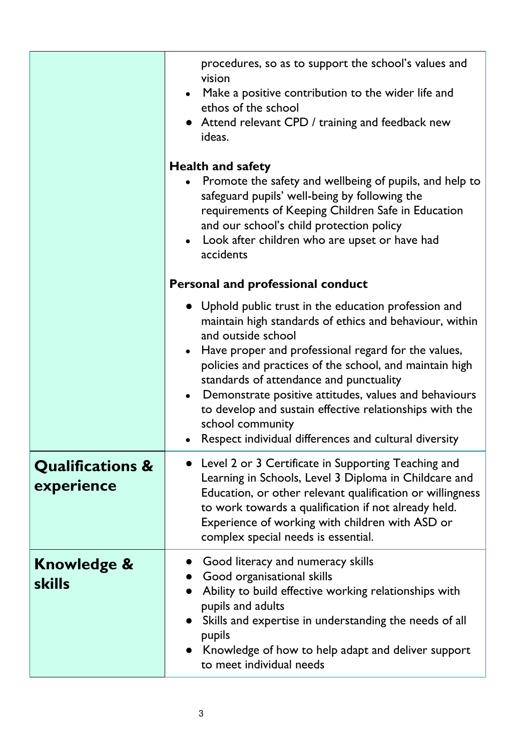|                                           | procedures, so as to support the school's values and<br>vision<br>Make a positive contribution to the wider life and<br>ethos of the school<br>• Attend relevant CPD / training and feedback new<br>ideas.<br><b>Health and safety</b><br>Promote the safety and wellbeing of pupils, and help to<br>safeguard pupils' well-being by following the<br>requirements of Keeping Children Safe in Education<br>and our school's child protection policy<br>Look after children who are upset or have had<br>accidents<br><b>Personal and professional conduct</b><br>• Uphold public trust in the education profession and<br>maintain high standards of ethics and behaviour, within<br>and outside school<br>Have proper and professional regard for the values,<br>$\bullet$<br>policies and practices of the school, and maintain high |
|-------------------------------------------|-----------------------------------------------------------------------------------------------------------------------------------------------------------------------------------------------------------------------------------------------------------------------------------------------------------------------------------------------------------------------------------------------------------------------------------------------------------------------------------------------------------------------------------------------------------------------------------------------------------------------------------------------------------------------------------------------------------------------------------------------------------------------------------------------------------------------------------------|
|                                           | standards of attendance and punctuality<br>Demonstrate positive attitudes, values and behaviours<br>$\bullet$<br>to develop and sustain effective relationships with the<br>school community<br>Respect individual differences and cultural diversity                                                                                                                                                                                                                                                                                                                                                                                                                                                                                                                                                                                   |
| <b>Qualifications &amp;</b><br>experience | • Level 2 or 3 Certificate in Supporting Teaching and<br>Learning in Schools, Level 3 Diploma in Childcare and<br>Education, or other relevant qualification or willingness<br>to work towards a qualification if not already held.<br>Experience of working with children with ASD or<br>complex special needs is essential.                                                                                                                                                                                                                                                                                                                                                                                                                                                                                                           |
| <b>Knowledge &amp;</b><br><b>skills</b>   | Good literacy and numeracy skills<br>Good organisational skills<br>Ability to build effective working relationships with<br>pupils and adults<br>Skills and expertise in understanding the needs of all<br>pupils<br>• Knowledge of how to help adapt and deliver support<br>to meet individual needs                                                                                                                                                                                                                                                                                                                                                                                                                                                                                                                                   |